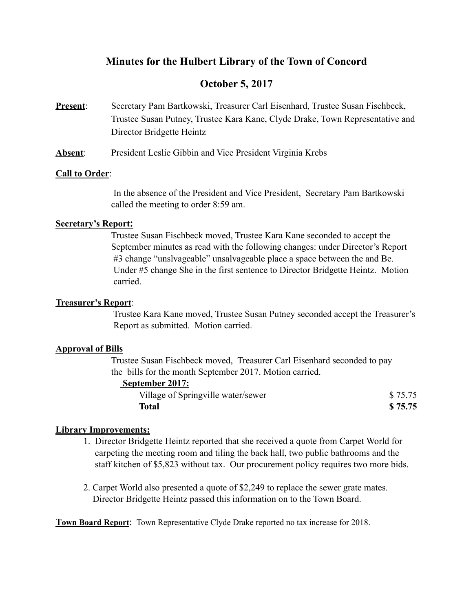# **Minutes for the Hulbert Library of the Town of Concord**

# **October 5, 2017**

- **Present:** Secretary Pam Bartkowski, Treasurer Carl Eisenhard, Trustee Susan Fischbeck, Trustee Susan Putney, Trustee Kara Kane, Clyde Drake, Town Representative and Director Bridgette Heintz
- **Absent**: President Leslie Gibbin and Vice President Virginia Krebs

# **Call to Order**:

 In the absence of the President and Vice President, Secretary Pam Bartkowski called the meeting to order 8:59 am.

# **Secretary's Report:**

 Trustee Susan Fischbeck moved, Trustee Kara Kane seconded to accept the September minutes as read with the following changes: under Director's Report #3 change "unslvageable" unsalvageable place a space between the and Be. Under #5 change She in the first sentence to Director Bridgette Heintz. Motion carried.

# **Treasurer's Report**:

 Trustee Kara Kane moved, Trustee Susan Putney seconded accept the Treasurer's Report as submitted. Motion carried.

# **Approval of Bills**

 Trustee Susan Fischbeck moved, Treasurer Carl Eisenhard seconded to pay the bills for the month September 2017. Motion carried.

# **September 2017:**

| Village of Springville water/sewer | \$75.75 |
|------------------------------------|---------|
| Total                              | \$75.75 |

# **Library Improvements:**

- 1. Director Bridgette Heintz reported that she received a quote from Carpet World for carpeting the meeting room and tiling the back hall, two public bathrooms and the staff kitchen of \$5,823 without tax. Our procurement policy requires two more bids.
- 2. Carpet World also presented a quote of \$2,249 to replace the sewer grate mates. Director Bridgette Heintz passed this information on to the Town Board.

**Town Board Report**: Town Representative Clyde Drake reported no tax increase for 2018.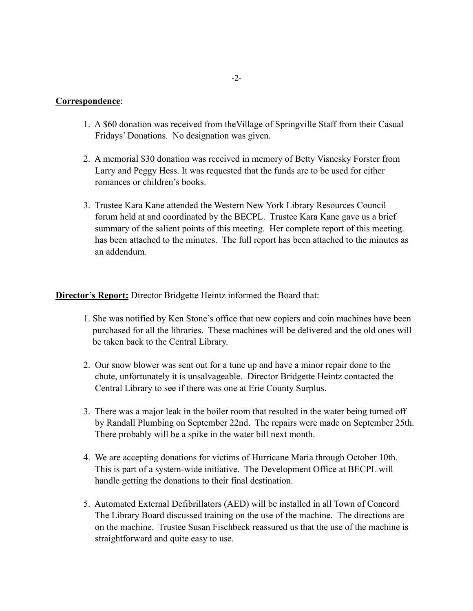### **Correspondence**:

- 1. A \$60 donation was received from theVillage of Springville Staff from their Casual Fridays' Donations. No designation was given.
- 2. A memorial \$30 donation was received in memory of Betty Visnesky Forster from Larry and Peggy Hess. It was requested that the funds are to be used for either romances or children's books.
- 3. Trustee Kara Kane attended the Western New York Library Resources Council forum held at and coordinated by the BECPL. Trustee Kara Kane gave us a brief summary of the salient points of this meeting. Her complete report of this meeting. has been attached to the minutes. The full report has been attached to the minutes as an addendum.

**Director's Report:** Director Bridgette Heintz informed the Board that:

- 1. She was notified by Ken Stone's office that new copiers and coin machines have been purchased for all the libraries. These machines will be delivered and the old ones will be taken back to the Central Library.
- 2. Our snow blower was sent out for a tune up and have a minor repair done to the chute, unfortunately it is unsalvageable. Director Bridgette Heintz contacted the Central Library to see if there was one at Erie County Surplus.
- 3. There was a major leak in the boiler room that resulted in the water being turned off by Randall Plumbing on September 22nd. The repairs were made on September 25th. There probably will be a spike in the water bill next month.
- 4. We are accepting donations for victims of Hurricane Maria through October 10th. This is part of a system-wide initiative. The Development Office at BECPL will handle getting the donations to their final destination.
- 5. Automated External Defibrillators (AED) will be installed in all Town of Concord The Library Board discussed training on the use of the machine. The directions are on the machine. Trustee Susan Fischbeck reassured us that the use of the machine is straightforward and quite easy to use.